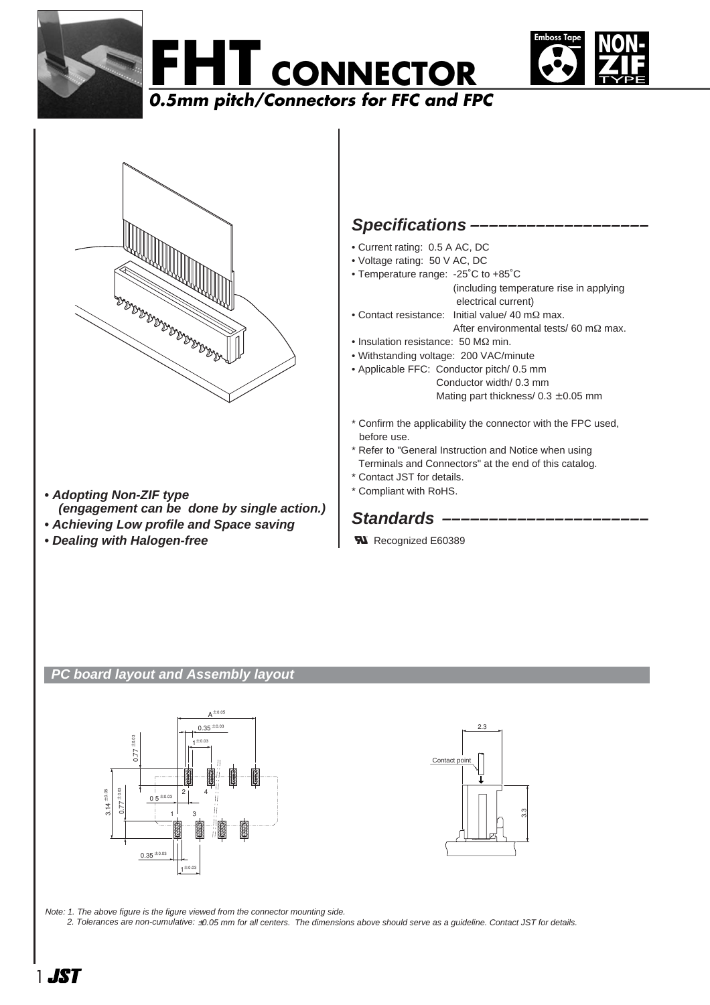







- **Adopting Non-ZIF type (engagement can be done by single action.)**
- **Achieving Low profile and Space saving**
- **Dealing with Halogen-free**

## **Specifications –––––––––––––––––––**

- Current rating: 0.5 A AC, DC
- Voltage rating: 50 V AC, DC
- Temperature range: -25˚C to +85˚C (including temperature rise in applying electrical current)
- Contact resistance: Initial value/ 40 mΩ max. After environmental tests/ 60 mΩ max.
- Insulation resistance: 50 MΩ min.
- Withstanding voltage: 200 VAC/minute
- Applicable FFC: Conductor pitch/ 0.5 mm Conductor width/ 0.3 mm Mating part thickness/ $0.3 \pm 0.05$  mm
- \* Confirm the applicability the connector with the FPC used, before use.
- \* Refer to "General Instruction and Notice when using
- Terminals and Connectors" at the end of this catalog.
- \* Contact JST for details.
- \* Compliant with RoHS.

# Standards –

**W** Recognized E60389

## **PC board layout and Assembly layout**





Note: 1. The above figure is the figure viewed from the connector mounting side.

2. Tolerances are non-cumulative: ±0.05 mm for all centers. The dimensions above should serve as a guideline. Contact JST for details.